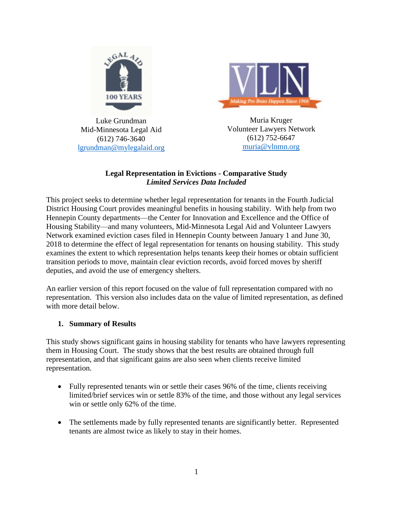

Luke Grundman Mid-Minnesota Legal Aid (612) 746-3640 [lgrundman@mylegalaid.org](mailto:lgrundman@mylegalaid.org)



Muria Kruger Volunteer Lawyers Network (612) 752-6647 [muria@vlnmn.org](mailto:muria@vlnmn.org)

#### **Legal Representation in Evictions - Comparative Study** *Limited Services Data Included*

This project seeks to determine whether legal representation for tenants in the Fourth Judicial District Housing Court provides meaningful benefits in housing stability. With help from two Hennepin County departments—the Center for Innovation and Excellence and the Office of Housing Stability—and many volunteers, Mid-Minnesota Legal Aid and Volunteer Lawyers Network examined eviction cases filed in Hennepin County between January 1 and June 30, 2018 to determine the effect of legal representation for tenants on housing stability. This study examines the extent to which representation helps tenants keep their homes or obtain sufficient transition periods to move, maintain clear eviction records, avoid forced moves by sheriff deputies, and avoid the use of emergency shelters.

An earlier version of this report focused on the value of full representation compared with no representation. This version also includes data on the value of limited representation, as defined with more detail below.

# **1. Summary of Results**

This study shows significant gains in housing stability for tenants who have lawyers representing them in Housing Court. The study shows that the best results are obtained through full representation, and that significant gains are also seen when clients receive limited representation.

- Fully represented tenants win or settle their cases 96% of the time, clients receiving limited/brief services win or settle 83% of the time, and those without any legal services win or settle only 62% of the time.
- The settlements made by fully represented tenants are significantly better. Represented tenants are almost twice as likely to stay in their homes.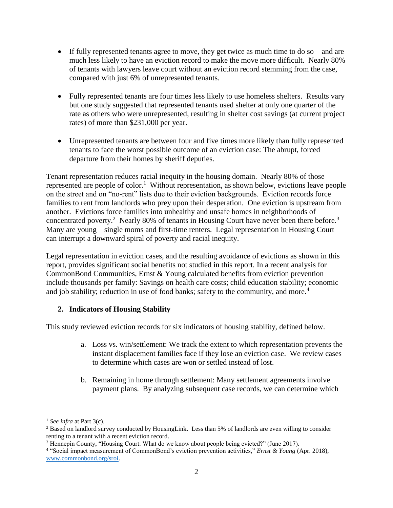- If fully represented tenants agree to move, they get twice as much time to do so—and are much less likely to have an eviction record to make the move more difficult. Nearly 80% of tenants with lawyers leave court without an eviction record stemming from the case, compared with just 6% of unrepresented tenants.
- Fully represented tenants are four times less likely to use homeless shelters. Results vary but one study suggested that represented tenants used shelter at only one quarter of the rate as others who were unrepresented, resulting in shelter cost savings (at current project rates) of more than \$231,000 per year.
- Unrepresented tenants are between four and five times more likely than fully represented tenants to face the worst possible outcome of an eviction case: The abrupt, forced departure from their homes by sheriff deputies.

Tenant representation reduces racial inequity in the housing domain. Nearly 80% of those represented are people of color.<sup>1</sup> Without representation, as shown below, evictions leave people on the street and on "no-rent" lists due to their eviction backgrounds. Eviction records force families to rent from landlords who prey upon their desperation. One eviction is upstream from another. Evictions force families into unhealthy and unsafe homes in neighborhoods of concentrated poverty.<sup>2</sup> Nearly 80% of tenants in Housing Court have never been there before.<sup>3</sup> Many are young—single moms and first-time renters. Legal representation in Housing Court can interrupt a downward spiral of poverty and racial inequity.

Legal representation in eviction cases, and the resulting avoidance of evictions as shown in this report, provides significant social benefits not studied in this report. In a recent analysis for CommonBond Communities, Ernst & Young calculated benefits from eviction prevention include thousands per family: Savings on health care costs; child education stability; economic and job stability; reduction in use of food banks; safety to the community, and more.<sup>4</sup>

# **2. Indicators of Housing Stability**

This study reviewed eviction records for six indicators of housing stability, defined below.

- a. Loss vs. win/settlement: We track the extent to which representation prevents the instant displacement families face if they lose an eviction case. We review cases to determine which cases are won or settled instead of lost.
- b. Remaining in home through settlement: Many settlement agreements involve payment plans. By analyzing subsequent case records, we can determine which

 $\overline{a}$ 

<sup>1</sup> *See infra* at Part 3(c).

<sup>2</sup> Based on landlord survey conducted by HousingLink. Less than 5% of landlords are even willing to consider renting to a tenant with a recent eviction record.

<sup>3</sup> Hennepin County, "Housing Court: What do we know about people being evicted?" (June 2017).

<sup>4</sup> "Social impact measurement of CommonBond's eviction prevention activities," *Ernst & Young* (Apr. 2018), [www.commonbond.org/sroi.](http://www.commonbond.org/sroi)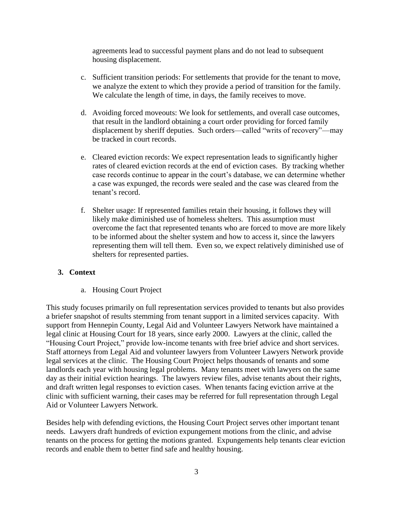agreements lead to successful payment plans and do not lead to subsequent housing displacement.

- c. Sufficient transition periods: For settlements that provide for the tenant to move, we analyze the extent to which they provide a period of transition for the family. We calculate the length of time, in days, the family receives to move.
- d. Avoiding forced moveouts: We look for settlements, and overall case outcomes, that result in the landlord obtaining a court order providing for forced family displacement by sheriff deputies. Such orders—called "writs of recovery"—may be tracked in court records.
- e. Cleared eviction records: We expect representation leads to significantly higher rates of cleared eviction records at the end of eviction cases. By tracking whether case records continue to appear in the court's database, we can determine whether a case was expunged, the records were sealed and the case was cleared from the tenant's record.
- f. Shelter usage: If represented families retain their housing, it follows they will likely make diminished use of homeless shelters. This assumption must overcome the fact that represented tenants who are forced to move are more likely to be informed about the shelter system and how to access it, since the lawyers representing them will tell them. Even so, we expect relatively diminished use of shelters for represented parties.

# **3. Context**

a. Housing Court Project

This study focuses primarily on full representation services provided to tenants but also provides a briefer snapshot of results stemming from tenant support in a limited services capacity. With support from Hennepin County, Legal Aid and Volunteer Lawyers Network have maintained a legal clinic at Housing Court for 18 years, since early 2000. Lawyers at the clinic, called the "Housing Court Project," provide low-income tenants with free brief advice and short services. Staff attorneys from Legal Aid and volunteer lawyers from Volunteer Lawyers Network provide legal services at the clinic. The Housing Court Project helps thousands of tenants and some landlords each year with housing legal problems. Many tenants meet with lawyers on the same day as their initial eviction hearings. The lawyers review files, advise tenants about their rights, and draft written legal responses to eviction cases. When tenants facing eviction arrive at the clinic with sufficient warning, their cases may be referred for full representation through Legal Aid or Volunteer Lawyers Network.

Besides help with defending evictions, the Housing Court Project serves other important tenant needs. Lawyers draft hundreds of eviction expungement motions from the clinic, and advise tenants on the process for getting the motions granted. Expungements help tenants clear eviction records and enable them to better find safe and healthy housing.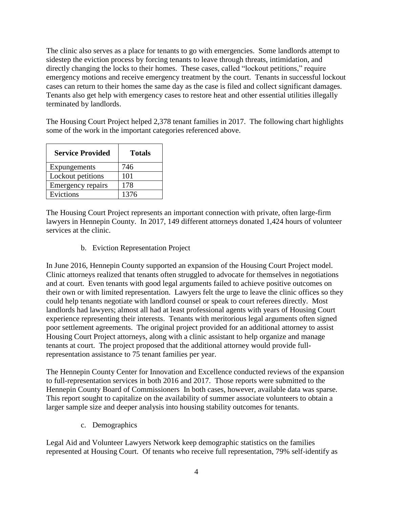The clinic also serves as a place for tenants to go with emergencies. Some landlords attempt to sidestep the eviction process by forcing tenants to leave through threats, intimidation, and directly changing the locks to their homes. These cases, called "lockout petitions," require emergency motions and receive emergency treatment by the court. Tenants in successful lockout cases can return to their homes the same day as the case is filed and collect significant damages. Tenants also get help with emergency cases to restore heat and other essential utilities illegally terminated by landlords.

The Housing Court Project helped 2,378 tenant families in 2017. The following chart highlights some of the work in the important categories referenced above.

| <b>Service Provided</b> | Totals |  |
|-------------------------|--------|--|
| Expungements            | 746    |  |
| Lockout petitions       | 101    |  |
| Emergency repairs       | 178    |  |
| Evictions               | 1376   |  |

The Housing Court Project represents an important connection with private, often large-firm lawyers in Hennepin County. In 2017, 149 different attorneys donated 1,424 hours of volunteer services at the clinic.

b. Eviction Representation Project

In June 2016, Hennepin County supported an expansion of the Housing Court Project model. Clinic attorneys realized that tenants often struggled to advocate for themselves in negotiations and at court. Even tenants with good legal arguments failed to achieve positive outcomes on their own or with limited representation. Lawyers felt the urge to leave the clinic offices so they could help tenants negotiate with landlord counsel or speak to court referees directly. Most landlords had lawyers; almost all had at least professional agents with years of Housing Court experience representing their interests. Tenants with meritorious legal arguments often signed poor settlement agreements. The original project provided for an additional attorney to assist Housing Court Project attorneys, along with a clinic assistant to help organize and manage tenants at court. The project proposed that the additional attorney would provide fullrepresentation assistance to 75 tenant families per year.

The Hennepin County Center for Innovation and Excellence conducted reviews of the expansion to full-representation services in both 2016 and 2017. Those reports were submitted to the Hennepin County Board of Commissioners In both cases, however, available data was sparse. This report sought to capitalize on the availability of summer associate volunteers to obtain a larger sample size and deeper analysis into housing stability outcomes for tenants.

c. Demographics

Legal Aid and Volunteer Lawyers Network keep demographic statistics on the families represented at Housing Court. Of tenants who receive full representation, 79% self-identify as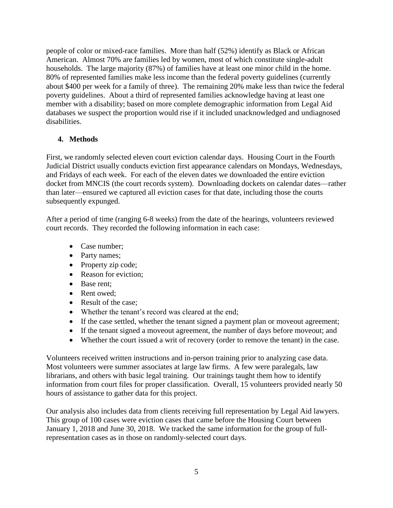people of color or mixed-race families. More than half (52%) identify as Black or African American. Almost 70% are families led by women, most of which constitute single-adult households. The large majority (87%) of families have at least one minor child in the home. 80% of represented families make less income than the federal poverty guidelines (currently about \$400 per week for a family of three). The remaining 20% make less than twice the federal poverty guidelines. About a third of represented families acknowledge having at least one member with a disability; based on more complete demographic information from Legal Aid databases we suspect the proportion would rise if it included unacknowledged and undiagnosed disabilities.

# **4. Methods**

First, we randomly selected eleven court eviction calendar days. Housing Court in the Fourth Judicial District usually conducts eviction first appearance calendars on Mondays, Wednesdays, and Fridays of each week. For each of the eleven dates we downloaded the entire eviction docket from MNCIS (the court records system). Downloading dockets on calendar dates—rather than later—ensured we captured all eviction cases for that date, including those the courts subsequently expunged.

After a period of time (ranging 6-8 weeks) from the date of the hearings, volunteers reviewed court records. They recorded the following information in each case:

- Case number;
- Party names;
- Property zip code;
- Reason for eviction;
- Base rent;
- Rent owed:
- Result of the case:
- Whether the tenant's record was cleared at the end;
- If the case settled, whether the tenant signed a payment plan or moveout agreement;
- If the tenant signed a moveout agreement, the number of days before moveout; and
- Whether the court issued a writ of recovery (order to remove the tenant) in the case.

Volunteers received written instructions and in-person training prior to analyzing case data. Most volunteers were summer associates at large law firms. A few were paralegals, law librarians, and others with basic legal training. Our trainings taught them how to identify information from court files for proper classification. Overall, 15 volunteers provided nearly 50 hours of assistance to gather data for this project.

Our analysis also includes data from clients receiving full representation by Legal Aid lawyers. This group of 100 cases were eviction cases that came before the Housing Court between January 1, 2018 and June 30, 2018. We tracked the same information for the group of fullrepresentation cases as in those on randomly-selected court days.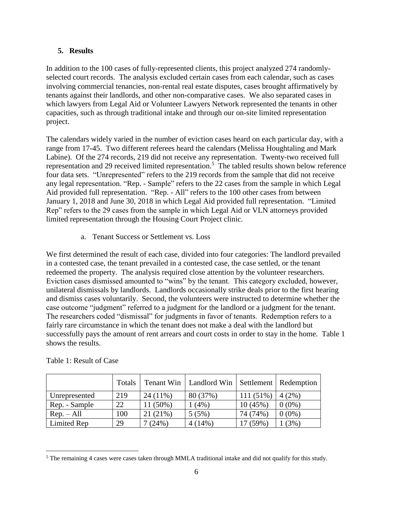# **5. Results**

In addition to the 100 cases of fully-represented clients, this project analyzed 274 randomlyselected court records. The analysis excluded certain cases from each calendar, such as cases involving commercial tenancies, non-rental real estate disputes, cases brought affirmatively by tenants against their landlords, and other non-comparative cases. We also separated cases in which lawyers from Legal Aid or Volunteer Lawyers Network represented the tenants in other capacities, such as through traditional intake and through our on-site limited representation project.

The calendars widely varied in the number of eviction cases heard on each particular day, with a range from 17-45. Two different referees heard the calendars (Melissa Houghtaling and Mark Labine). Of the 274 records, 219 did not receive any representation. Twenty-two received full representation and 29 received limited representation. 5 The tabled results shown below reference four data sets. "Unrepresented" refers to the 219 records from the sample that did not receive any legal representation. "Rep. - Sample" refers to the 22 cases from the sample in which Legal Aid provided full representation. "Rep. - All" refers to the 100 other cases from between January 1, 2018 and June 30, 2018 in which Legal Aid provided full representation. "Limited Rep" refers to the 29 cases from the sample in which Legal Aid or VLN attorneys provided limited representation through the Housing Court Project clinic.

a. Tenant Success or Settlement vs. Loss

We first determined the result of each case, divided into four categories: The landlord prevailed in a contested case, the tenant prevailed in a contested case, the case settled, or the tenant redeemed the property. The analysis required close attention by the volunteer researchers. Eviction cases dismissed amounted to "wins" by the tenant. This category excluded, however, unilateral dismissals by landlords. Landlords occasionally strike deals prior to the first hearing and dismiss cases voluntarily. Second, the volunteers were instructed to determine whether the case outcome "judgment" referred to a judgment for the landlord or a judgment for the tenant. The researchers coded "dismissal" for judgments in favor of tenants. Redemption refers to a fairly rare circumstance in which the tenant does not make a deal with the landlord but successfully pays the amount of rent arrears and court costs in order to stay in the home. Table 1 shows the results.

|               | <b>Totals</b> |            | Tenant Win   Landlord Win   Settlement   Redemption |             |          |
|---------------|---------------|------------|-----------------------------------------------------|-------------|----------|
| Unrepresented | 219           | $24(11\%)$ | 80 (37%)                                            | $111(51\%)$ | 4(2%)    |
| Rep. - Sample | 22            | 11 (50%)   | (4% )                                               | 10(45%)     | $0(0\%)$ |
| $Rep. - All$  | 100           | 21 (21%)   | 5(5%)                                               | 74 (74%)    | $0(0\%)$ |
| Limited Rep   | 29            | (24%)      | $4(14\%)$                                           | (7(59%)     | (3%)     |

#### Table 1: Result of Case

 $\overline{a}$ 

<sup>5</sup> The remaining 4 cases were cases taken through MMLA traditional intake and did not qualify for this study.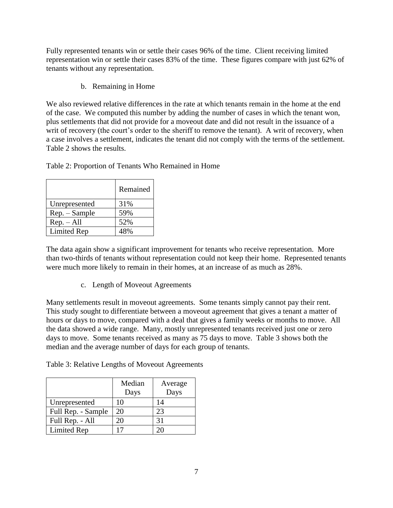Fully represented tenants win or settle their cases 96% of the time. Client receiving limited representation win or settle their cases 83% of the time. These figures compare with just 62% of tenants without any representation.

b. Remaining in Home

We also reviewed relative differences in the rate at which tenants remain in the home at the end of the case. We computed this number by adding the number of cases in which the tenant won, plus settlements that did not provide for a moveout date and did not result in the issuance of a writ of recovery (the court's order to the sheriff to remove the tenant). A writ of recovery, when a case involves a settlement, indicates the tenant did not comply with the terms of the settlement. Table 2 shows the results.

Table 2: Proportion of Tenants Who Remained in Home

|                    | Remained |
|--------------------|----------|
| Unrepresented      | 31%      |
| Rep. - Sample      | 59%      |
| $Rep. - All$       | 52%      |
| <b>Limited Rep</b> | 48%      |

The data again show a significant improvement for tenants who receive representation. More than two-thirds of tenants without representation could not keep their home. Represented tenants were much more likely to remain in their homes, at an increase of as much as 28%.

c. Length of Moveout Agreements

Many settlements result in moveout agreements. Some tenants simply cannot pay their rent. This study sought to differentiate between a moveout agreement that gives a tenant a matter of hours or days to move, compared with a deal that gives a family weeks or months to move. All the data showed a wide range. Many, mostly unrepresented tenants received just one or zero days to move. Some tenants received as many as 75 days to move. Table 3 shows both the median and the average number of days for each group of tenants.

|                    | Median<br>Days | Average<br>Days |
|--------------------|----------------|-----------------|
| Unrepresented      | 10             | 14              |
| Full Rep. - Sample | 20             | 23              |
| Full Rep. - All    | 20             | 31              |
| <b>Limited Rep</b> |                |                 |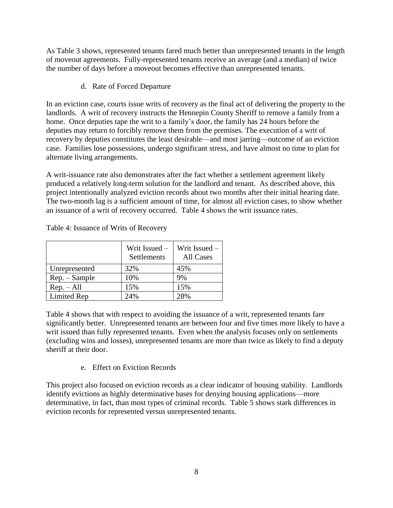As Table 3 shows, represented tenants fared much better than unrepresented tenants in the length of moveout agreements. Fully-represented tenants receive an average (and a median) of twice the number of days before a moveout becomes effective than unrepresented tenants.

d. Rate of Forced Departure

In an eviction case, courts issue writs of recovery as the final act of delivering the property to the landlords. A writ of recovery instructs the Hennepin County Sheriff to remove a family from a home. Once deputies tape the writ to a family's door, the family has 24 hours before the deputies may return to forcibly remove them from the premises. The execution of a writ of recovery by deputies constitutes the least desirable—and most jarring—outcome of an eviction case. Families lose possessions, undergo significant stress, and have almost no time to plan for alternate living arrangements.

A writ-issuance rate also demonstrates after the fact whether a settlement agreement likely produced a relatively long-term solution for the landlord and tenant. As described above, this project intentionally analyzed eviction records about two months after their initial hearing date. The two-month lag is a sufficient amount of time, for almost all eviction cases, to show whether an issuance of a writ of recovery occurred. Table 4 shows the writ issuance rates.

|                 | Writ Issued -<br>Settlements | Writ Issued -<br>All Cases |
|-----------------|------------------------------|----------------------------|
| Unrepresented   | 32%                          | 45%                        |
| $Rep. - Sample$ | 10%                          | 9%                         |
| $Rep. - All$    | 15%                          | 15%                        |
| Limited Rep     | 24%                          | 28%                        |

Table 4: Issuance of Writs of Recovery

Table 4 shows that with respect to avoiding the issuance of a writ, represented tenants fare significantly better. Unrepresented tenants are between four and five times more likely to have a writ issued than fully represented tenants. Even when the analysis focuses only on settlements (excluding wins and losses), unrepresented tenants are more than twice as likely to find a deputy sheriff at their door.

e. Effect on Eviction Records

This project also focused on eviction records as a clear indicator of housing stability. Landlords identify evictions as highly determinative bases for denying housing applications—more determinative, in fact, than most types of criminal records. Table 5 shows stark differences in eviction records for represented versus unrepresented tenants.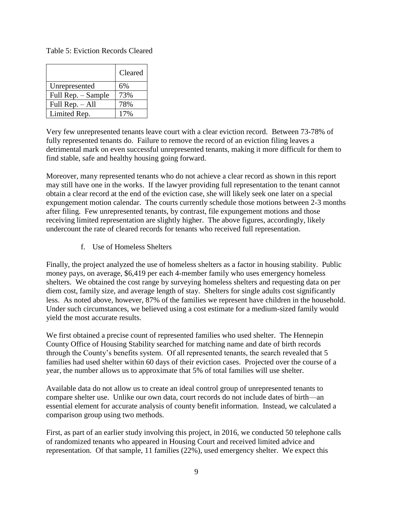#### Table 5: Eviction Records Cleared

|                    | Cleared |
|--------------------|---------|
| Unrepresented      | 6%      |
| Full Rep. - Sample | 73%     |
| Full Rep. - All    | 78%     |
| Limited Rep.       | 17%     |

Very few unrepresented tenants leave court with a clear eviction record. Between 73-78% of fully represented tenants do. Failure to remove the record of an eviction filing leaves a detrimental mark on even successful unrepresented tenants, making it more difficult for them to find stable, safe and healthy housing going forward.

Moreover, many represented tenants who do not achieve a clear record as shown in this report may still have one in the works. If the lawyer providing full representation to the tenant cannot obtain a clear record at the end of the eviction case, she will likely seek one later on a special expungement motion calendar. The courts currently schedule those motions between 2-3 months after filing. Few unrepresented tenants, by contrast, file expungement motions and those receiving limited representation are slightly higher. The above figures, accordingly, likely undercount the rate of cleared records for tenants who received full representation.

f. Use of Homeless Shelters

Finally, the project analyzed the use of homeless shelters as a factor in housing stability. Public money pays, on average, \$6,419 per each 4-member family who uses emergency homeless shelters. We obtained the cost range by surveying homeless shelters and requesting data on per diem cost, family size, and average length of stay. Shelters for single adults cost significantly less. As noted above, however, 87% of the families we represent have children in the household. Under such circumstances, we believed using a cost estimate for a medium-sized family would yield the most accurate results.

We first obtained a precise count of represented families who used shelter. The Hennepin County Office of Housing Stability searched for matching name and date of birth records through the County's benefits system. Of all represented tenants, the search revealed that 5 families had used shelter within 60 days of their eviction cases. Projected over the course of a year, the number allows us to approximate that 5% of total families will use shelter.

Available data do not allow us to create an ideal control group of unrepresented tenants to compare shelter use. Unlike our own data, court records do not include dates of birth—an essential element for accurate analysis of county benefit information. Instead, we calculated a comparison group using two methods.

First, as part of an earlier study involving this project, in 2016, we conducted 50 telephone calls of randomized tenants who appeared in Housing Court and received limited advice and representation. Of that sample, 11 families (22%), used emergency shelter. We expect this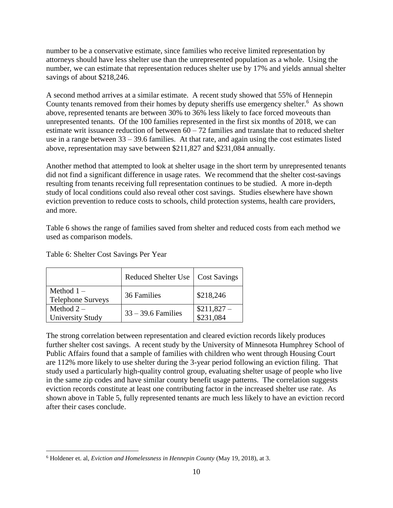number to be a conservative estimate, since families who receive limited representation by attorneys should have less shelter use than the unrepresented population as a whole. Using the number, we can estimate that representation reduces shelter use by 17% and yields annual shelter savings of about \$218,246.

A second method arrives at a similar estimate. A recent study showed that 55% of Hennepin County tenants removed from their homes by deputy sheriffs use emergency shelter.<sup>6</sup> As shown above, represented tenants are between 30% to 36% less likely to face forced moveouts than unrepresented tenants. Of the 100 families represented in the first six months of 2018, we can estimate writ issuance reduction of between  $60 - 72$  families and translate that to reduced shelter use in a range between 33 – 39.6 families. At that rate, and again using the cost estimates listed above, representation may save between \$211,827 and \$231,084 annually.

Another method that attempted to look at shelter usage in the short term by unrepresented tenants did not find a significant difference in usage rates. We recommend that the shelter cost-savings resulting from tenants receiving full representation continues to be studied. A more in-depth study of local conditions could also reveal other cost savings. Studies elsewhere have shown eviction prevention to reduce costs to schools, child protection systems, health care providers, and more.

Table 6 shows the range of families saved from shelter and reduced costs from each method we used as comparison models.

|                                          | Reduced Shelter Use   Cost Savings |                          |
|------------------------------------------|------------------------------------|--------------------------|
| Method $1 -$<br><b>Telephone Surveys</b> | 36 Families                        | \$218,246                |
| Method $2-$<br><b>University Study</b>   | $33 - 39.6$ Families               | $$211,827-$<br>\$231,084 |

Table 6: Shelter Cost Savings Per Year

The strong correlation between representation and cleared eviction records likely produces further shelter cost savings. A recent study by the University of Minnesota Humphrey School of Public Affairs found that a sample of families with children who went through Housing Court are 112% more likely to use shelter during the 3-year period following an eviction filing. That study used a particularly high-quality control group, evaluating shelter usage of people who live in the same zip codes and have similar county benefit usage patterns. The correlation suggests eviction records constitute at least one contributing factor in the increased shelter use rate. As shown above in Table 5, fully represented tenants are much less likely to have an eviction record after their cases conclude.

 $\overline{a}$ <sup>6</sup> Holdener et. al, *Eviction and Homelessness in Hennepin County* (May 19, 2018), at 3.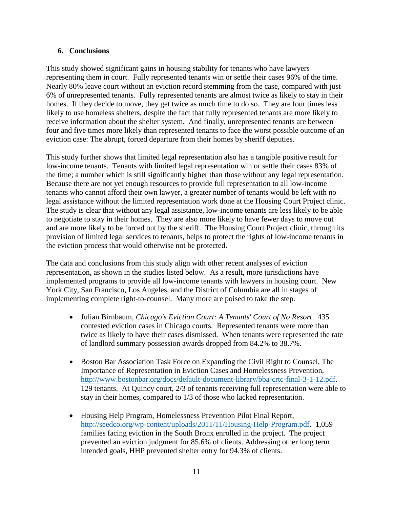#### **6. Conclusions**

This study showed significant gains in housing stability for tenants who have lawyers representing them in court. Fully represented tenants win or settle their cases 96% of the time. Nearly 80% leave court without an eviction record stemming from the case, compared with just 6% of unrepresented tenants. Fully represented tenants are almost twice as likely to stay in their homes. If they decide to move, they get twice as much time to do so. They are four times less likely to use homeless shelters, despite the fact that fully represented tenants are more likely to receive information about the shelter system. And finally, unrepresented tenants are between four and five times more likely than represented tenants to face the worst possible outcome of an eviction case: The abrupt, forced departure from their homes by sheriff deputies.

This study further shows that limited legal representation also has a tangible positive result for low-income tenants. Tenants with limited legal representation win or settle their cases 83% of the time; a number which is still significantly higher than those without any legal representation. Because there are not yet enough resources to provide full representation to all low-income tenants who cannot afford their own lawyer, a greater number of tenants would be left with no legal assistance without the limited representation work done at the Housing Court Project clinic. The study is clear that without any legal assistance, low-income tenants are less likely to be able to negotiate to stay in their homes. They are also more likely to have fewer days to move out and are more likely to be forced out by the sheriff. The Housing Court Project clinic, through its provision of limited legal services to tenants, helps to protect the rights of low-income tenants in the eviction process that would otherwise not be protected.

The data and conclusions from this study align with other recent analyses of eviction representation, as shown in the studies listed below. As a result, more jurisdictions have implemented programs to provide all low-income tenants with lawyers in housing court. New York City, San Francisco, Los Angeles, and the District of Columbia are all in stages of implementing complete right-to-counsel. Many more are poised to take the step.

- Julian Birnbaum, *Chicago's Eviction Court: A Tenants' Court of No Resort*. 435 contested eviction cases in Chicago courts. Represented tenants were more than twice as likely to have their cases dismissed. When tenants were represented the rate of landlord summary possession awards dropped from 84.2% to 38.7%.
- Boston Bar Association Task Force on Expanding the Civil Right to Counsel, The Importance of Representation in Eviction Cases and Homelessness Prevention, [http://www.bostonbar.org/docs/default-document-library/bba-crtc-final-3-1-12.pdf.](http://www.bostonbar.org/docs/default-document-library/bba-crtc-final-3-1-12.pdf) 129 tenants. At Quincy court, 2/3 of tenants receiving full representation were able to stay in their homes, compared to 1/3 of those who lacked representation.
- Housing Help Program, Homelessness Prevention Pilot Final Report, [http://seedco.org/wp-content/uploads/2011/11/Housing-Help-Program.pdf.](http://seedco.org/wp-content/uploads/2011/11/Housing-Help-Program.pdf) 1,059 families facing eviction in the South Bronx enrolled in the project. The project prevented an eviction judgment for 85.6% of clients. Addressing other long term intended goals, HHP prevented shelter entry for 94.3% of clients.